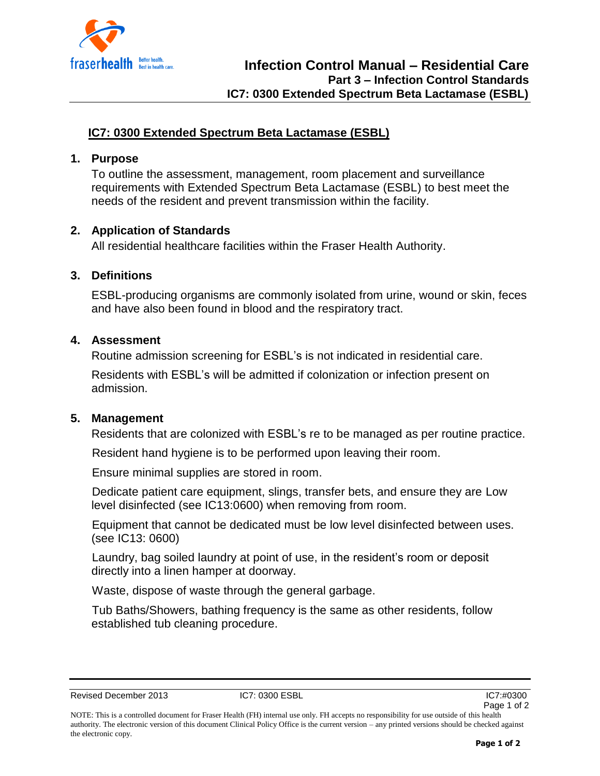

# **IC7: 0300 Extended Spectrum Beta Lactamase (ESBL)**

#### **1. Purpose**

To outline the assessment, management, room placement and surveillance requirements with Extended Spectrum Beta Lactamase (ESBL) to best meet the needs of the resident and prevent transmission within the facility.

### **2. Application of Standards**

All residential healthcare facilities within the Fraser Health Authority.

## **3. Definitions**

ESBL-producing organisms are commonly isolated from urine, wound or skin, feces and have also been found in blood and the respiratory tract.

### **4. Assessment**

Routine admission screening for ESBL's is not indicated in residential care.

Residents with ESBL's will be admitted if colonization or infection present on admission.

### **5. Management**

Residents that are colonized with ESBL's re to be managed as per routine practice.

Resident hand hygiene is to be performed upon leaving their room.

Ensure minimal supplies are stored in room.

Dedicate patient care equipment, slings, transfer bets, and ensure they are Low level disinfected (see IC13:0600) when removing from room.

Equipment that cannot be dedicated must be low level disinfected between uses. (see IC13: 0600)

Laundry, bag soiled laundry at point of use, in the resident's room or deposit directly into a linen hamper at doorway.

Waste, dispose of waste through the general garbage.

Tub Baths/Showers, bathing frequency is the same as other residents, follow established tub cleaning procedure.

Revised December 2013 **IC7: 0300 ESBL** IC7: 0300 ESBL IC7:#0300

NOTE: This is a controlled document for Fraser Health (FH) internal use only. FH accepts no responsibility for use outside of this health authority. The electronic version of this document Clinical Policy Office is the current version – any printed versions should be checked against the electronic copy.